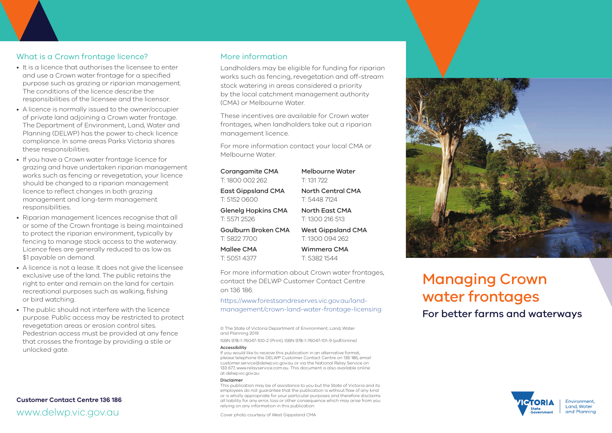## What is a Crown frontage licence?

- It is a licence that authorises the licensee to enter and use a Crown water frontage for a specified purpose such as grazing or riparian management. The conditions of the licence describe the responsibilities of the licensee and the licensor.
- A licence is normally issued to the owner/occupier of private land adjoining a Crown water frontage. The Department of Environment, Land, Water and Planning (DELWP) has the power to check licence compliance. In some areas Parks Victoria shares these responsibilities.
- If you have a Crown water frontage licence for grazing and have undertaken riparian management works such as fencing or revegetation, your licence should be changed to a riparian management licence to reflect changes in both grazing management and long-term management responsibilities.
- Riparian management licences recognise that all or some of the Crown frontage is being maintained to protect the riparian environment, typically by fencing to manage stock access to the waterway. Licence fees are generally reduced to as low as \$1 payable on demand.
- A licence is not a lease. It does not give the licensee exclusive use of the land. The public retains the right to enter and remain on the land for certain recreational purposes such as walking, fishing or bird watching.
- The public should not interfere with the licence purpose. Public access may be restricted to protect revegetation areas or erosion control sites. Pedestrian access must be provided at any fence that crosses the frontage by providing a stile or unlocked gate.

## **Customer Contact Centre 136 186** www.delwp.vic.gov.au

## More information

Landholders may be eligible for funding for riparian works such as fencing, revegetation and off-stream stock watering in areas considered a priority by the local catchment management authority (CMA) or Melbourne Water.

These incentives are available for Crown water frontages, when landholders take out a riparian management licence.

For more information contact your local CMA or Melbourne Water.

| Corangamite CMA           | Melbourne Water           |
|---------------------------|---------------------------|
| T: 1800 002 262           | T: 131 722                |
| <b>East Gippsland CMA</b> | North Central CMA         |
| T: 5152 0600              | T: 5448 7124              |
| Glenelg Hopkins CMA       | North East CMA            |
| T: 5571 2526              | T: 1300 216 513           |
| Goulburn Broken CMA       | <b>West Gippsland CMA</b> |
| T: 5822 7700              | T: 1300 094 262           |
| Mallee CMA                | Wimmera CMA               |
| T: 5051 4377              | T: 53821544               |

For more information about Crown water frontages, contact the DELWP Customer Contact Centre on 136 186.

https://www.forestsandreserves.vic.gov.au/landmanagement/crown-land-water-frontage-licensing

© The State of Victoria Department of Environment, Land, Water and Planning 2019

ISBN 978-1-76047-100-2 (Print), ISBN 978-1-76047-101-9 (pdf/online)

#### Accessibility

If you would like to receive this publication in an alternative format, please telephone the DELWP Customer Contact Centre on 136 186, email customer.service@delwp.vic.gov.au or via the National Relay Service on 133 677, www.relayservice.com.au. This document is also available online at delwp.vic.gov.au

#### Disclaimer

This publication may be of assistance to you but the State of Victoria and its employees do not guarantee that the publication is without flaw of any kind or is wholly appropriate for your particular purposes and therefore disclaims all liability for any error, loss or other consequence which may arise from you relying on any information in this publication.

Cover photo courtesy of West Gippsland CMA



# Managing Crown water frontages

For better farms and waterways